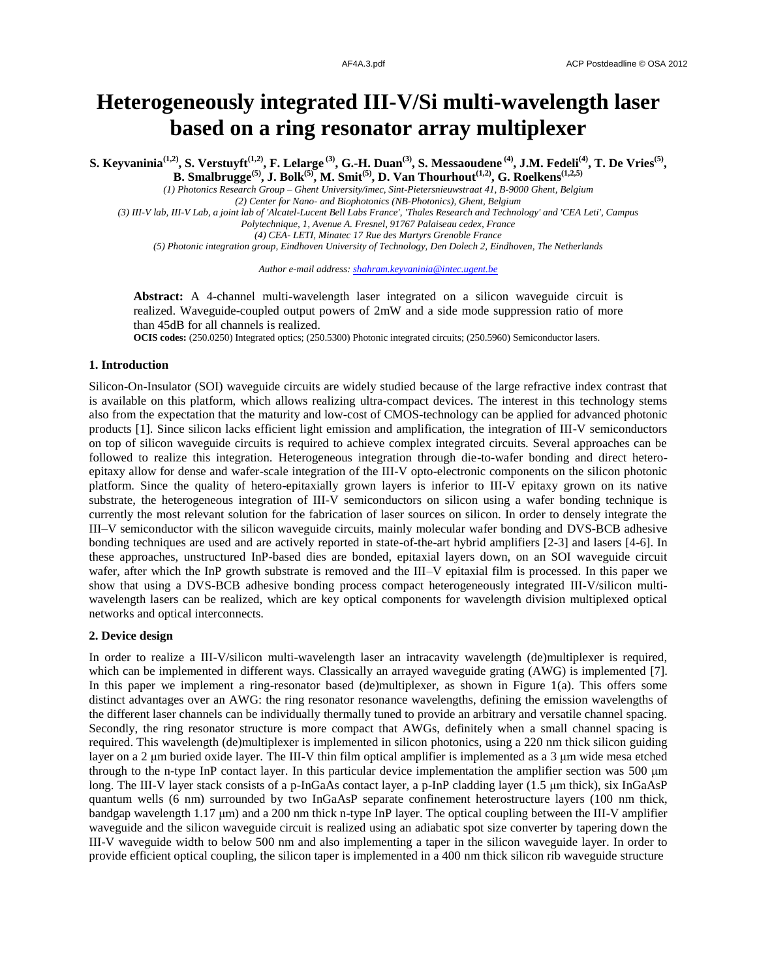# **Heterogeneously integrated III-V/Si multi-wavelength laser based on a ring resonator array multiplexer**

S. Keyvaninia<sup>(1,2)</sup>, S. Verstuyft<sup>(1,2)</sup>, F. Lelarge<sup>(3)</sup>, G.-H. Duan<sup>(3)</sup>, S. Messaoudene<sup>(4)</sup>, J.M. Fedeli<sup>(4)</sup>, T. De Vries<sup>(5)</sup>, **B. Smalbrugge(5), J. Bolk(5) , M. Smit(5), D. Van Thourhout(1,2), G. Roelkens(1,2,5)**

*(1) Photonics Research Group – Ghent University/imec, Sint-Pietersnieuwstraat 41, B-9000 Ghent, Belgium (2) Center for Nano- and Biophotonics (NB-Photonics), Ghent, Belgium*

*(3) III-V lab, III-V Lab, a joint lab of 'Alcatel-Lucent Bell Labs France', 'Thales Research and Technology' and 'CEA Leti', Campus Polytechnique, 1, Avenue A. Fresnel, 91767 Palaiseau cedex, France*

*(4) CEA- LETI, Minatec 17 Rue des Martyrs Grenoble France*

*(5) Photonic integration group, Eindhoven University of Technology, Den Dolech 2, Eindhoven, The Netherlands*

*Author e-mail address: shahram.keyvaninia@intec.ugent.be*

**Abstract:** A 4-channel multi-wavelength laser integrated on a silicon waveguide circuit is realized. Waveguide-coupled output powers of 2mW and a side mode suppression ratio of more than 45dB for all channels is realized.

**OCIS codes:** (250.0250) Integrated optics; (250.5300) Photonic integrated circuits; (250.5960) Semiconductor lasers.

## **1. Introduction**

Silicon-On-Insulator (SOI) waveguide circuits are widely studied because of the large refractive index contrast that is available on this platform, which allows realizing ultra-compact devices. The interest in this technology stems also from the expectation that the maturity and low-cost of CMOS-technology can be applied for advanced photonic products [1]. Since silicon lacks efficient light emission and amplification, the integration of III-V semiconductors on top of silicon waveguide circuits is required to achieve complex integrated circuits. Several approaches can be followed to realize this integration. Heterogeneous integration through die-to-wafer bonding and direct heteroepitaxy allow for dense and wafer-scale integration of the III-V opto-electronic components on the silicon photonic platform. Since the quality of hetero-epitaxially grown layers is inferior to III-V epitaxy grown on its native substrate, the heterogeneous integration of III-V semiconductors on silicon using a wafer bonding technique is currently the most relevant solution for the fabrication of laser sources on silicon. In order to densely integrate the III–V semiconductor with the silicon waveguide circuits, mainly molecular wafer bonding and DVS-BCB adhesive bonding techniques are used and are actively reported in state-of-the-art hybrid amplifiers [2-3] and lasers [4-6]. In these approaches, unstructured InP-based dies are bonded, epitaxial layers down, on an SOI waveguide circuit wafer, after which the InP growth substrate is removed and the III–V epitaxial film is processed. In this paper we show that using a DVS-BCB adhesive bonding process compact heterogeneously integrated III-V/silicon multiwavelength lasers can be realized, which are key optical components for wavelength division multiplexed optical networks and optical interconnects.

## **2. Device design**

In order to realize a III-V/silicon multi-wavelength laser an intracavity wavelength (de)multiplexer is required, which can be implemented in different ways. Classically an arrayed waveguide grating (AWG) is implemented [7]. In this paper we implement a ring-resonator based (de)multiplexer, as shown in Figure 1(a). This offers some distinct advantages over an AWG: the ring resonator resonance wavelengths, defining the emission wavelengths of the different laser channels can be individually thermally tuned to provide an arbitrary and versatile channel spacing. Secondly, the ring resonator structure is more compact that AWGs, definitely when a small channel spacing is required. This wavelength (de)multiplexer is implemented in silicon photonics, using a 220 nm thick silicon guiding layer on a 2 μm buried oxide layer. The III-V thin film optical amplifier is implemented as a 3 μm wide mesa etched through to the n-type InP contact layer. In this particular device implementation the amplifier section was 500 μm long. The III-V layer stack consists of a p-InGaAs contact layer, a p-InP cladding layer (1.5 μm thick), six InGaAsP quantum wells (6 nm) surrounded by two InGaAsP separate confinement heterostructure layers (100 nm thick, bandgap wavelength 1.17 μm) and a 200 nm thick n-type InP layer. The optical coupling between the III-V amplifier waveguide and the silicon waveguide circuit is realized using an adiabatic spot size converter by tapering down the III-V waveguide width to below 500 nm and also implementing a taper in the silicon waveguide layer. In order to provide efficient optical coupling, the silicon taper is implemented in a 400 nm thick silicon rib waveguide structure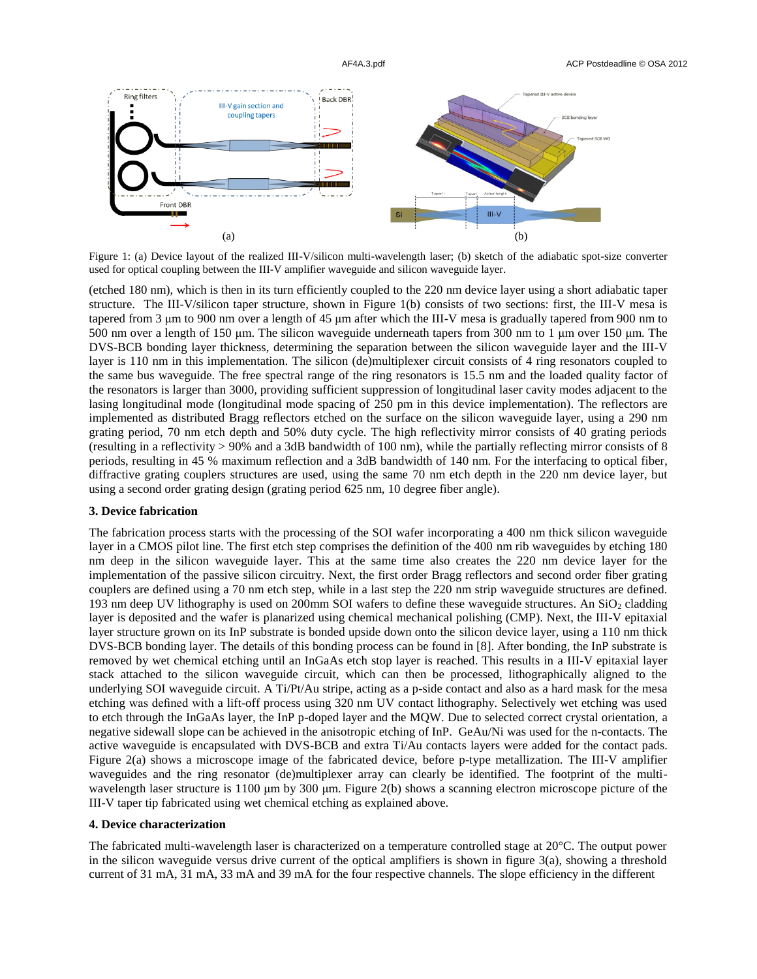

Figure 1: (a) Device layout of the realized III-V/silicon multi-wavelength laser; (b) sketch of the adiabatic spot-size converter used for optical coupling between the III-V amplifier waveguide and silicon waveguide layer.

(etched 180 nm), which is then in its turn efficiently coupled to the 220 nm device layer using a short adiabatic taper structure. The III-V/silicon taper structure, shown in Figure 1(b) consists of two sections: first, the III-V mesa is tapered from 3 μm to 900 nm over a length of 45 μm after which the III-V mesa is gradually tapered from 900 nm to 500 nm over a length of 150 μm. The silicon waveguide underneath tapers from 300 nm to 1 μm over 150 μm. The DVS-BCB bonding layer thickness, determining the separation between the silicon waveguide layer and the III-V layer is 110 nm in this implementation. The silicon (de)multiplexer circuit consists of 4 ring resonators coupled to the same bus waveguide. The free spectral range of the ring resonators is 15.5 nm and the loaded quality factor of the resonators is larger than 3000, providing sufficient suppression of longitudinal laser cavity modes adjacent to the lasing longitudinal mode (longitudinal mode spacing of 250 pm in this device implementation). The reflectors are implemented as distributed Bragg reflectors etched on the surface on the silicon waveguide layer, using a 290 nm grating period, 70 nm etch depth and 50% duty cycle. The high reflectivity mirror consists of 40 grating periods (resulting in a reflectivity > 90% and a 3dB bandwidth of 100 nm), while the partially reflecting mirror consists of 8 periods, resulting in 45 % maximum reflection and a 3dB bandwidth of 140 nm. For the interfacing to optical fiber, diffractive grating couplers structures are used, using the same 70 nm etch depth in the 220 nm device layer, but using a second order grating design (grating period 625 nm, 10 degree fiber angle).

#### **3. Device fabrication**

The fabrication process starts with the processing of the SOI wafer incorporating a 400 nm thick silicon waveguide layer in a CMOS pilot line. The first etch step comprises the definition of the 400 nm rib waveguides by etching 180 nm deep in the silicon waveguide layer. This at the same time also creates the 220 nm device layer for the implementation of the passive silicon circuitry. Next, the first order Bragg reflectors and second order fiber grating couplers are defined using a 70 nm etch step, while in a last step the 220 nm strip waveguide structures are defined. 193 nm deep UV lithography is used on 200mm SOI wafers to define these waveguide structures. An  $SiO<sub>2</sub>$  cladding layer is deposited and the wafer is planarized using chemical mechanical polishing (CMP). Next, the III-V epitaxial layer structure grown on its InP substrate is bonded upside down onto the silicon device layer, using a 110 nm thick DVS-BCB bonding layer. The details of this bonding process can be found in [8]. After bonding, the InP substrate is removed by wet chemical etching until an InGaAs etch stop layer is reached. This results in a III-V epitaxial layer stack attached to the silicon waveguide circuit, which can then be processed, lithographically aligned to the underlying SOI waveguide circuit. A Ti/Pt/Au stripe, acting as a p-side contact and also as a hard mask for the mesa etching was defined with a lift-off process using 320 nm UV contact lithography. Selectively wet etching was used to etch through the InGaAs layer, the InP p-doped layer and the MQW. Due to selected correct crystal orientation, a negative sidewall slope can be achieved in the anisotropic etching of InP. GeAu/Ni was used for the n-contacts. The active waveguide is encapsulated with DVS-BCB and extra Ti/Au contacts layers were added for the contact pads. Figure 2(a) shows a microscope image of the fabricated device, before p-type metallization. The III-V amplifier waveguides and the ring resonator (de)multiplexer array can clearly be identified. The footprint of the multiwavelength laser structure is 1100 μm by 300 μm. Figure 2(b) shows a scanning electron microscope picture of the III-V taper tip fabricated using wet chemical etching as explained above.

#### **4. Device characterization**

The fabricated multi-wavelength laser is characterized on a temperature controlled stage at 20°C. The output power in the silicon waveguide versus drive current of the optical amplifiers is shown in figure  $3(a)$ , showing a threshold current of 31 mA, 31 mA, 33 mA and 39 mA for the four respective channels. The slope efficiency in the different